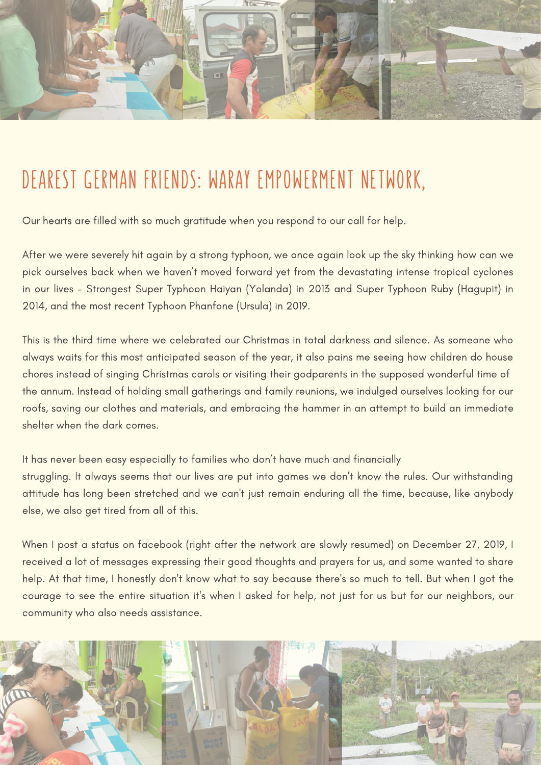

## DEAREST GERMAN FRIENDS: WARAY EMPOWERMENT NETWORK,

Our hearts are filled with so much gratitude when you respond to our call for help.

After we were severely hit again by a strong typhoon, we once again look up the sky thinking how can we pick ourselves back when we haven't moved forward yet from the devastating intense tropical cyclones in our lives – Strongest Super Typhoon Haiyan (Yolanda) in 2013 and Super Typhoon Ruby (Hagupit) in 2014, and the most recent Typhoon Phanfone (Ursula) in 2019.

This is the third time where we celebrated our Christmas in total darkness and silence. As someone who always waits for this most anticipated season of the year, it also pains me seeing how children do house chores instead of singing Christmas carols or visiting their godparents in the supposed wonderful time of the annum. Instead of holding small gatherings and family reunions, we indulged ourselves looking for our roofs, saving our clothes and materials, and embracing the hammer in an attempt to build an immediate shelter when the dark comes.

It has never been easy especially to families who don't have much and financially struggling. It always seems that our lives are put into games we don't know the rules. Our withstanding attitude has long been stretched and we can't just remain enduring all the time, because, like anybody else, we also get tired from all of this.

When I post a status on facebook (right after the network are slowly resumed) on December 27, 2019, I received a lot of messages expressing their good thoughts and prayers for us, and some wanted to share help. At that time, I honestly don't know what to say because there's so much to tell. But when I got the courage to see the entire situation it's when I asked for help, not just for us but for our neighbors, our community who also needs assistance.